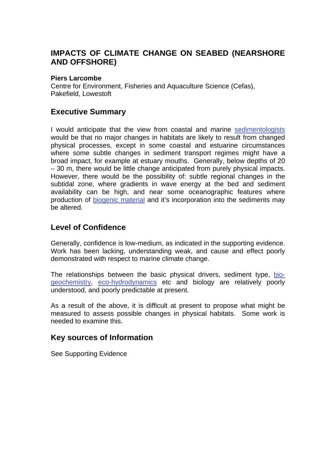# **IMPACTS OF CLIMATE CHANGE ON SEABED (NEARSHORE AND OFFSHORE)**

#### **Piers Larcombe**

Centre for Environment, Fisheries and Aquaculture Science (Cefas), Pakefield, Lowestoft

## **Executive Summary**

I would anticipate that the view from coastal and marine [sedimentologists](http://www.mccip.org.uk/arc/glossary.htm) would be that no major changes in habitats are likely to result from changed physical processes, except in some coastal and estuarine circumstances where some subtle changes in sediment transport regimes might have a broad impact, for example at estuary mouths. Generally, below depths of 20 – 30 m, there would be little change anticipated from purely physical impacts. However, there would be the possibility of: subtle regional changes in the subtidal zone, where gradients in wave energy at the bed and sediment availability can be high, and near some oceanographic features where production of [biogenic material a](http://www.mccip.org.uk/arc/glossary.htm)nd it's incorporation into the sediments may be altered.

# **Level of Confidence**

Generally, confidence is low-medium, as indicated in the supporting evidence. Work has been lacking, understanding weak, and cause and effect poorly demonstrated with respect to marine climate change.

The relationships between the basic physical drivers, sediment type, [bio](http://www.mccip.org.uk/arc/glossary.htm)[geochemistry, eco-hydrodynamics](http://www.mccip.org.uk/arc/glossary.htm) etc and biology are relatively poorly understood, and poorly predictable at present.

As a result of the above, it is difficult at present to propose what might be measured to assess possible changes in physical habitats. Some work is needed to examine this.

## **Key sources of Information**

See Supporting Evidence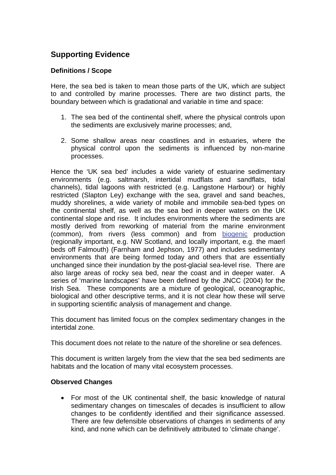# **Supporting Evidence**

## **Definitions / Scope**

Here, the sea bed is taken to mean those parts of the UK, which are subject to and controlled by marine processes. There are two distinct parts, the boundary between which is gradational and variable in time and space:

- 1. The sea bed of the continental shelf, where the physical controls upon the sediments are exclusively marine processes; and,
- 2. Some shallow areas near coastlines and in estuaries, where the physical control upon the sediments is influenced by non-marine processes.

Hence the 'UK sea bed' includes a wide variety of estuarine sedimentary environments (e.g. saltmarsh, intertidal mudflats and sandflats, tidal channels), tidal lagoons with restricted (e.g. Langstone Harbour) or highly restricted (Slapton Ley) exchange with the sea, gravel and sand beaches, muddy shorelines, a wide variety of mobile and immobile sea-bed types on the continental shelf, as well as the sea bed in deeper waters on the UK continental slope and rise. It includes environments where the sediments are mostly derived from reworking of material from the marine environment (common), from rivers (less common) and from [biogenic](http://www.mccip.org.uk/arc/glossary.htm) production (regionally important, e.g. NW Scotland, and locally important, e.g. the maerl beds off Falmouth) (Farnham and Jephson, 1977) and includes sedimentary environments that are being formed today and others that are essentially unchanged since their inundation by the post-glacial sea-level rise. There are also large areas of rocky sea bed, near the coast and in deeper water. A series of 'marine landscapes' have been defined by the JNCC (2004) for the Irish Sea. These components are a mixture of geological, oceanographic, biological and other descriptive terms, and it is not clear how these will serve in supporting scientific analysis of management and change.

This document has limited focus on the complex sedimentary changes in the intertidal zone.

This document does not relate to the nature of the shoreline or sea defences.

This document is written largely from the view that the sea bed sediments are habitats and the location of many vital ecosystem processes.

## **Observed Changes**

• For most of the UK continental shelf, the basic knowledge of natural sedimentary changes on timescales of decades is insufficient to allow changes to be confidently identified and their significance assessed. There are few defensible observations of changes in sediments of any kind, and none which can be definitively attributed to 'climate change'.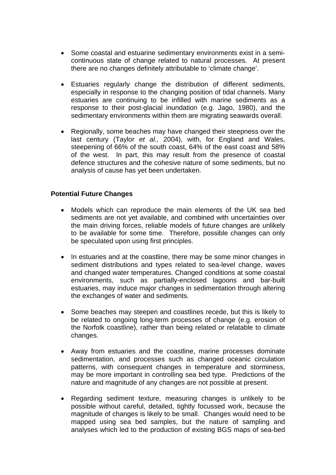- Some coastal and estuarine sedimentary environments exist in a semicontinuous state of change related to natural processes. At present there are no changes definitely attributable to 'climate change'.
- Estuaries regularly change the distribution of different sediments, especially in response to the changing position of tidal channels. Many estuaries are continuing to be infilled with marine sediments as a response to their post-glacial inundation (e.g. Jago, 1980), and the sedimentary environments within them are migrating seawards overall.
- Regionally, some beaches may have changed their steepness over the last century (Taylor *et al.,* 2004), with, for England and Wales, steepening of 66% of the south coast, 64% of the east coast and 58% of the west. In part, this may result from the presence of coastal defence structures and the cohesive nature of some sediments, but no analysis of cause has yet been undertaken.

#### **Potential Future Changes**

- Models which can reproduce the main elements of the UK sea bed sediments are not yet available, and combined with uncertainties over the main driving forces, reliable models of future changes are unlikely to be available for some time. Therefore, possible changes can only be speculated upon using first principles.
- In estuaries and at the coastline, there may be some minor changes in sediment distributions and types related to sea-level change, waves and changed water temperatures. Changed conditions at some coastal environments, such as partially-enclosed lagoons and bar-built estuaries, may induce major changes in sedimentation through altering the exchanges of water and sediments.
- Some beaches may steepen and coastlines recede, but this is likely to be related to ongoing long-term processes of change (e.g. erosion of the Norfolk coastline), rather than being related or relatable to climate changes.
- Away from estuaries and the coastline, marine processes dominate sedimentation, and processes such as changed oceanic circulation patterns, with consequent changes in temperature and storminess, may be more important in controlling sea bed type. Predictions of the nature and magnitude of any changes are not possible at present.
- Regarding sediment texture, measuring changes is unlikely to be possible without careful, detailed, tightly focussed work, because the magnitude of changes is likely to be small. Changes would need to be mapped using sea bed samples, but the nature of sampling and analyses which led to the production of existing BGS maps of sea-bed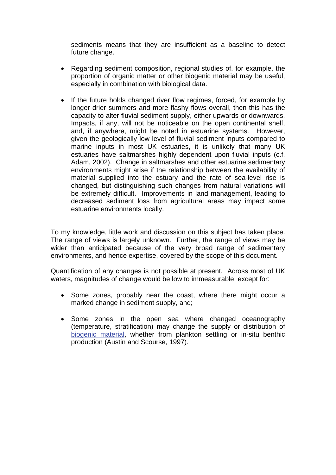sediments means that they are insufficient as a baseline to detect future change.

- Regarding sediment composition, regional studies of, for example, the proportion of organic matter or other biogenic material may be useful, especially in combination with biological data.
- If the future holds changed river flow regimes, forced, for example by longer drier summers and more flashy flows overall, then this has the capacity to alter fluvial sediment supply, either upwards or downwards. Impacts, if any, will not be noticeable on the open continental shelf, and, if anywhere, might be noted in estuarine systems. However, given the geologically low level of fluvial sediment inputs compared to marine inputs in most UK estuaries, it is unlikely that many UK estuaries have saltmarshes highly dependent upon fluvial inputs (c.f. Adam, 2002). Change in saltmarshes and other estuarine sedimentary environments might arise if the relationship between the availability of material supplied into the estuary and the rate of sea-level rise is changed, but distinguishing such changes from natural variations will be extremely difficult. Improvements in land management, leading to decreased sediment loss from agricultural areas may impact some estuarine environments locally.

To my knowledge, little work and discussion on this subject has taken place. The range of views is largely unknown. Further, the range of views may be wider than anticipated because of the very broad range of sedimentary environments, and hence expertise, covered by the scope of this document.

Quantification of any changes is not possible at present. Across most of UK waters, magnitudes of change would be low to immeasurable, except for:

- Some zones, probably near the coast, where there might occur a marked change in sediment supply, and;
- Some zones in the open sea where changed oceanography (temperature, stratification) may change the supply or distribution of [biogenic material,](http://www.mccip.org.uk/arc/glossary.htm) whether from plankton settling or in-situ benthic production (Austin and Scourse, 1997).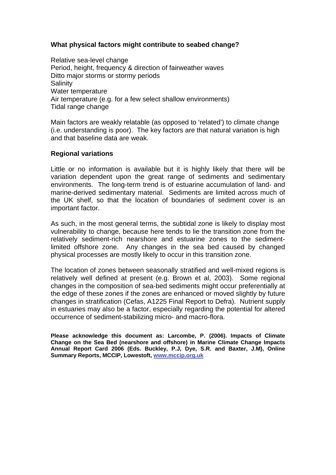#### **What physical factors might contribute to seabed change?**

Relative sea-level change Period, height, frequency & direction of fairweather waves Ditto major storms or stormy periods **Salinity** Water temperature Air temperature (e.g. for a few select shallow environments) Tidal range change

Main factors are weakly relatable (as opposed to 'related') to climate change (i.e. understanding is poor). The key factors are that natural variation is high and that baseline data are weak.

#### **Regional variations**

Little or no information is available but it is highly likely that there will be variation dependent upon the great range of sediments and sedimentary environments. The long-term trend is of estuarine accumulation of land- and marine-derived sedimentary material. Sediments are limited across much of the UK shelf, so that the location of boundaries of sediment cover is an important factor.

As such, in the most general terms, the subtidal zone is likely to display most vulnerability to change, because here tends to lie the transition zone from the relatively sediment-rich nearshore and estuarine zones to the sedimentlimited offshore zone. Any changes in the sea bed caused by changed physical processes are mostly likely to occur in this transition zone.

The location of zones between seasonally stratified and well-mixed regions is relatively well defined at present (e.g. Brown et al, 2003). Some regional changes in the composition of sea-bed sediments might occur preferentially at the edge of these zones if the zones are enhanced or moved slightly by future changes in stratification (Cefas, A1225 Final Report to Defra). Nutrient supply in estuaries may also be a factor, especially regarding the potential for altered occurrence of sediment-stabilizing micro- and macro-flora.

**Please acknowledge this document as: Larcombe, P. (2006). Impacts of Climate Change on the Sea Bed (nearshore and offshore) in Marine Climate Change Impacts Annual Report Card 2006 (Eds. Buckley, P.J, Dye, S.R. and Baxter, J.M), Online Summary Reports, MCCIP, Lowestoft, [www.mccip.org.uk](http://www.mccip.org.uk/)**